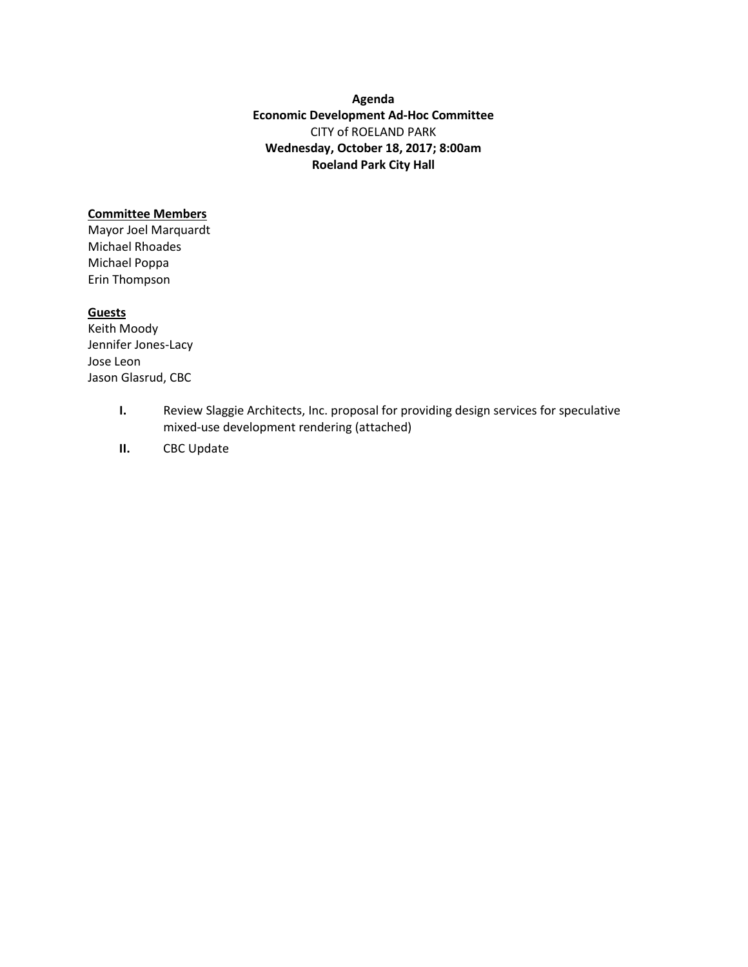**Agenda Economic Development Ad-Hoc Committee** CITY of ROELAND PARK **Wednesday, October 18, 2017; 8:00am Roeland Park City Hall** 

## **Committee Members**

Mayor Joel Marquardt Michael Rhoades Michael Poppa Erin Thompson

## **Guests**

Keith Moody Jennifer Jones-Lacy Jose Leon Jason Glasrud, CBC

- **I.** Review Slaggie Architects, Inc. proposal for providing design services for speculative mixed-use development rendering (attached)
- **II.** CBC Update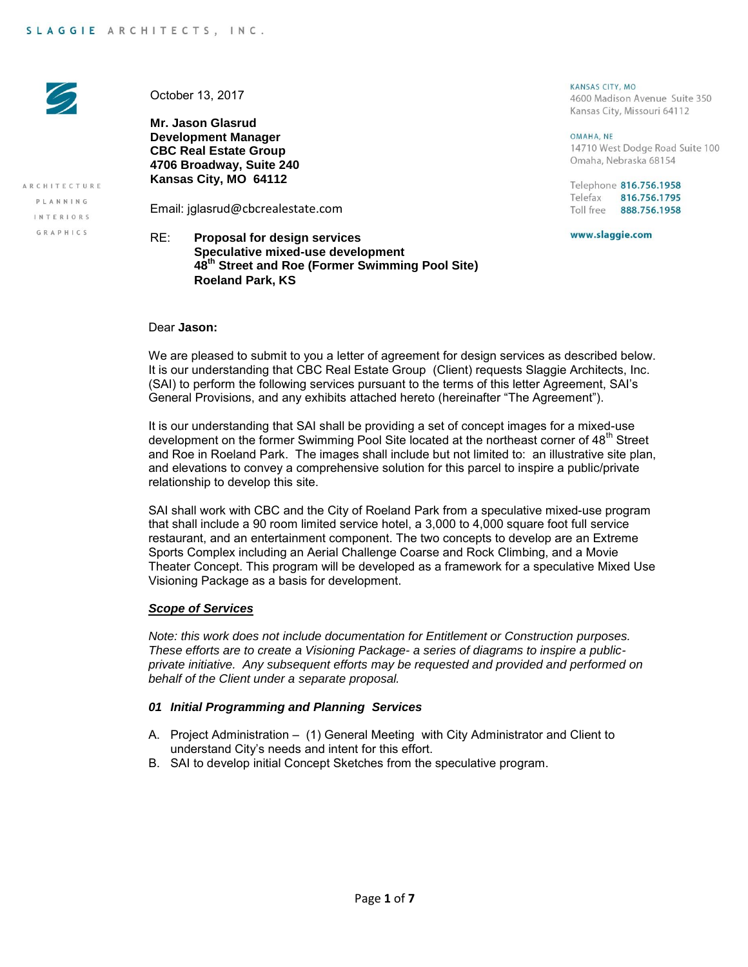

ARCHITECTURE

PLANNING

INTERIORS GRAPHICS

October 13, 2017

**Mr. Jason Glasrud Development Manager CBC Real Estate Group 4706 Broadway, Suite 240 Kansas City, MO 64112**

Email: jglasrud@cbcrealestate.com

# RE: **Proposal for design services Speculative mixed-use development 48th Street and Roe (Former Swimming Pool Site) Roeland Park, KS**

#### KANSAS CITY MO 4600 Madison Avenue Suite 350

Kansas City, Missouri 64112

OMAHA, NE 14710 West Dodge Road Suite 100 Omaha, Nebraska 68154

Telephone 816.756.1958 Telefax 816.756.1795 Toll free 888.756.1958

www.slaggie.com

Dear **Jason:**

We are pleased to submit to you a letter of agreement for design services as described below. It is our understanding that CBC Real Estate Group (Client) requests Slaggie Architects, Inc. (SAI) to perform the following services pursuant to the terms of this letter Agreement, SAI's General Provisions, and any exhibits attached hereto (hereinafter "The Agreement").

It is our understanding that SAI shall be providing a set of concept images for a mixed-use development on the former Swimming Pool Site located at the northeast corner of 48<sup>th</sup> Street and Roe in Roeland Park. The images shall include but not limited to: an illustrative site plan, and elevations to convey a comprehensive solution for this parcel to inspire a public/private relationship to develop this site.

SAI shall work with CBC and the City of Roeland Park from a speculative mixed-use program that shall include a 90 room limited service hotel, a 3,000 to 4,000 square foot full service restaurant, and an entertainment component. The two concepts to develop are an Extreme Sports Complex including an Aerial Challenge Coarse and Rock Climbing, and a Movie Theater Concept. This program will be developed as a framework for a speculative Mixed Use Visioning Package as a basis for development.

## *Scope of Services*

*Note: this work does not include documentation for Entitlement or Construction purposes. These efforts are to create a Visioning Package- a series of diagrams to inspire a publicprivate initiative. Any subsequent efforts may be requested and provided and performed on behalf of the Client under a separate proposal.* 

### *01 Initial Programming and Planning Services*

- A. Project Administration (1) General Meeting with City Administrator and Client to understand City's needs and intent for this effort.
- B. SAI to develop initial Concept Sketches from the speculative program.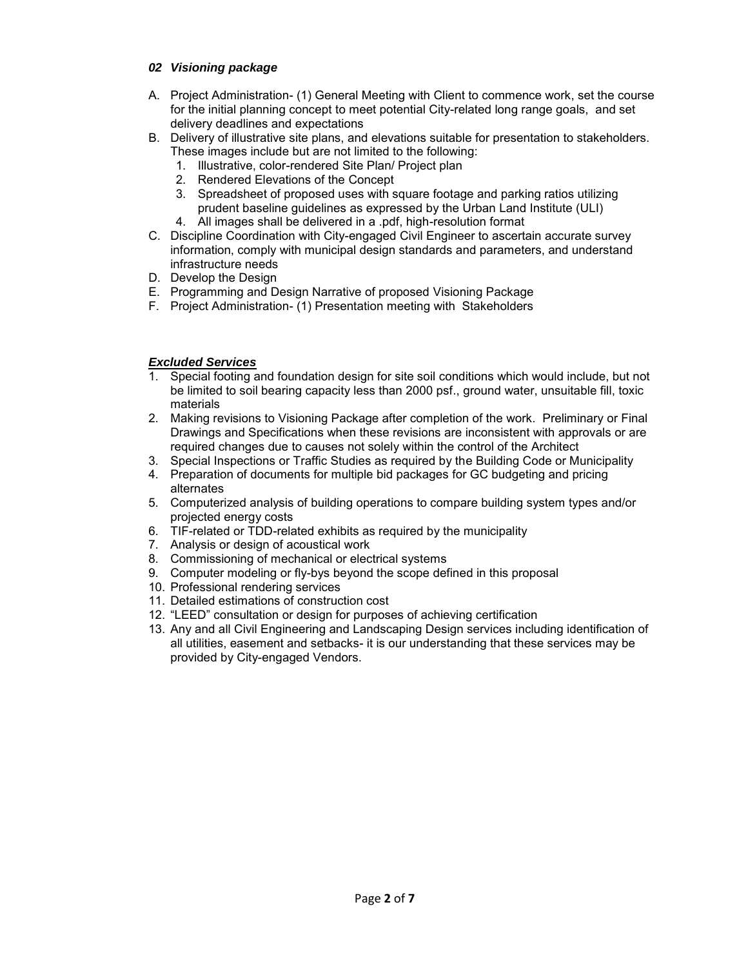# *02 Visioning package*

- A. Project Administration- (1) General Meeting with Client to commence work, set the course for the initial planning concept to meet potential City-related long range goals, and set delivery deadlines and expectations
- B. Delivery of illustrative site plans, and elevations suitable for presentation to stakeholders. These images include but are not limited to the following:
	- 1. Illustrative, color-rendered Site Plan/ Project plan
	- 2. Rendered Elevations of the Concept
	- 3. Spreadsheet of proposed uses with square footage and parking ratios utilizing prudent baseline guidelines as expressed by the Urban Land Institute (ULI) 4. All images shall be delivered in a .pdf, high-resolution format
- C. Discipline Coordination with City-engaged Civil Engineer to ascertain accurate survey information, comply with municipal design standards and parameters, and understand infrastructure needs
- D. Develop the Design
- E. Programming and Design Narrative of proposed Visioning Package
- F. Project Administration- (1) Presentation meeting with Stakeholders

# *Excluded Services*

- 1. Special footing and foundation design for site soil conditions which would include, but not be limited to soil bearing capacity less than 2000 psf., ground water, unsuitable fill, toxic materials
- 2. Making revisions to Visioning Package after completion of the work. Preliminary or Final Drawings and Specifications when these revisions are inconsistent with approvals or are required changes due to causes not solely within the control of the Architect
- 3. Special Inspections or Traffic Studies as required by the Building Code or Municipality
- 4. Preparation of documents for multiple bid packages for GC budgeting and pricing alternates
- 5. Computerized analysis of building operations to compare building system types and/or projected energy costs
- 6. TIF-related or TDD-related exhibits as required by the municipality
- 7. Analysis or design of acoustical work
- 8. Commissioning of mechanical or electrical systems
- 9. Computer modeling or fly-bys beyond the scope defined in this proposal
- 10. Professional rendering services
- 11. Detailed estimations of construction cost
- 12. "LEED" consultation or design for purposes of achieving certification
- 13. Any and all Civil Engineering and Landscaping Design services including identification of all utilities, easement and setbacks- it is our understanding that these services may be provided by City-engaged Vendors.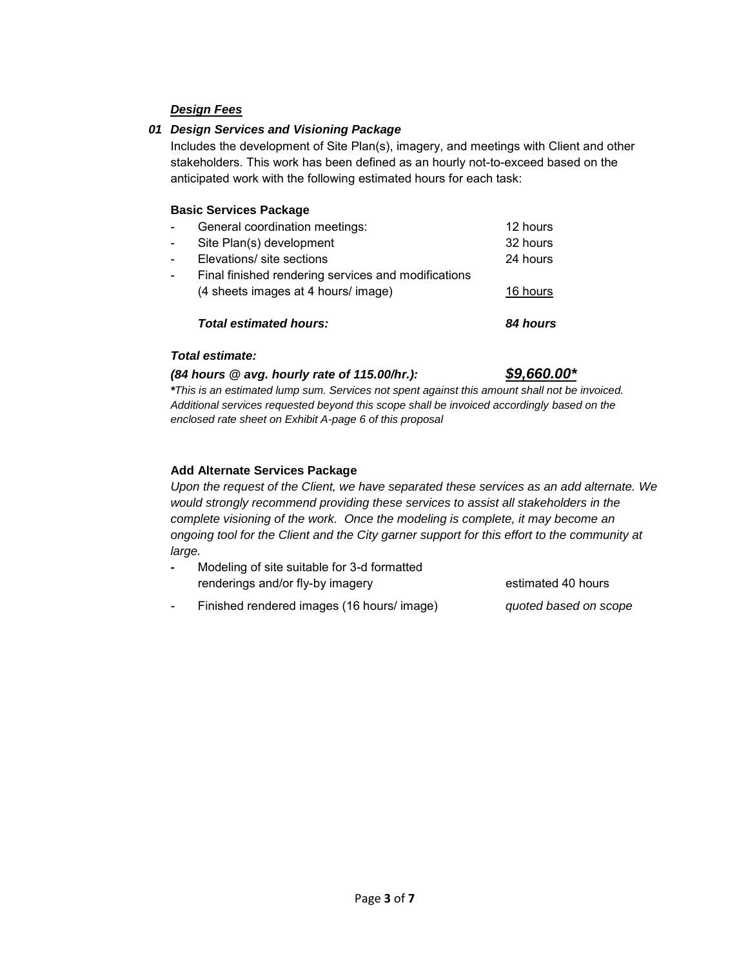# *Design Fees*

# *01 Design Services and Visioning Package*

Includes the development of Site Plan(s), imagery, and meetings with Client and other stakeholders. This work has been defined as an hourly not-to-exceed based on the anticipated work with the following estimated hours for each task:

## **Basic Services Package**

|                          | <b>Total estimated hours:</b>                       | 84 hours |
|--------------------------|-----------------------------------------------------|----------|
|                          | (4 sheets images at 4 hours/ image)                 | 16 hours |
| $\blacksquare$           | Final finished rendering services and modifications |          |
| $\overline{\phantom{0}}$ | Elevations/ site sections                           | 24 hours |
| $\overline{\phantom{0}}$ | Site Plan(s) development                            | 32 hours |
| $\overline{\phantom{0}}$ | General coordination meetings:                      | 12 hours |
|                          |                                                     |          |

## *Total estimate:*

# *(84 hours @ avg. hourly rate of 115.00/hr.): \$9,660.00\**

## *\*This is an estimated lump sum. Services not spent against this amount shall not be invoiced. Additional services requested beyond this scope shall be invoiced accordingly based on the enclosed rate sheet on Exhibit A-page 6 of this proposal*

# **Add Alternate Services Package**

*Upon the request of the Client, we have separated these services as an add alternate. We would strongly recommend providing these services to assist all stakeholders in the complete visioning of the work. Once the modeling is complete, it may become an ongoing tool for the Client and the City garner support for this effort to the community at large.* 

| Modeling of site suitable for 3-d formatted |                    |
|---------------------------------------------|--------------------|
| renderings and/or fly-by imagery            | estimated 40 hours |

- Finished rendered images (16 hours/ image) *quoted based on scope*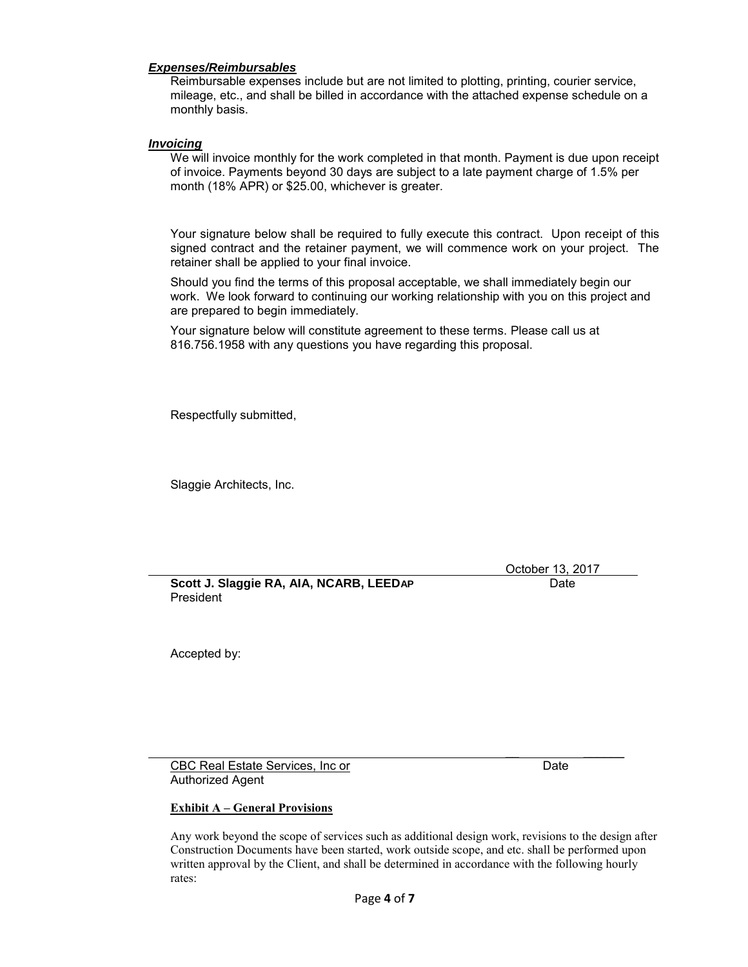## *Expenses/Reimbursables*

Reimbursable expenses include but are not limited to plotting, printing, courier service, mileage, etc., and shall be billed in accordance with the attached expense schedule on a monthly basis.

## *Invoicing*

We will invoice monthly for the work completed in that month. Payment is due upon receipt of invoice. Payments beyond 30 days are subject to a late payment charge of 1.5% per month (18% APR) or \$25.00, whichever is greater.

Your signature below shall be required to fully execute this contract. Upon receipt of this signed contract and the retainer payment, we will commence work on your project. The retainer shall be applied to your final invoice.

Should you find the terms of this proposal acceptable, we shall immediately begin our work. We look forward to continuing our working relationship with you on this project and are prepared to begin immediately.

Your signature below will constitute agreement to these terms. Please call us at 816.756.1958 with any questions you have regarding this proposal.

Respectfully submitted,

Slaggie Architects, Inc.

October 13, 2017

**Scott J. Slaggie RA, AIA, NCARB, LEEDAP** Date President

Accepted by:

 $\overline{\phantom{a}}$  , and the contract of the contract of the contract of the contract of the contract of the contract of the contract of the contract of the contract of the contract of the contract of the contract of the contrac CBC Real Estate Services, Inc or Date CBC Real Estate Services, Inc or Authorized Agent

### **Exhibit A – General Provisions**

Any work beyond the scope of services such as additional design work, revisions to the design after Construction Documents have been started, work outside scope, and etc. shall be performed upon written approval by the Client, and shall be determined in accordance with the following hourly rates: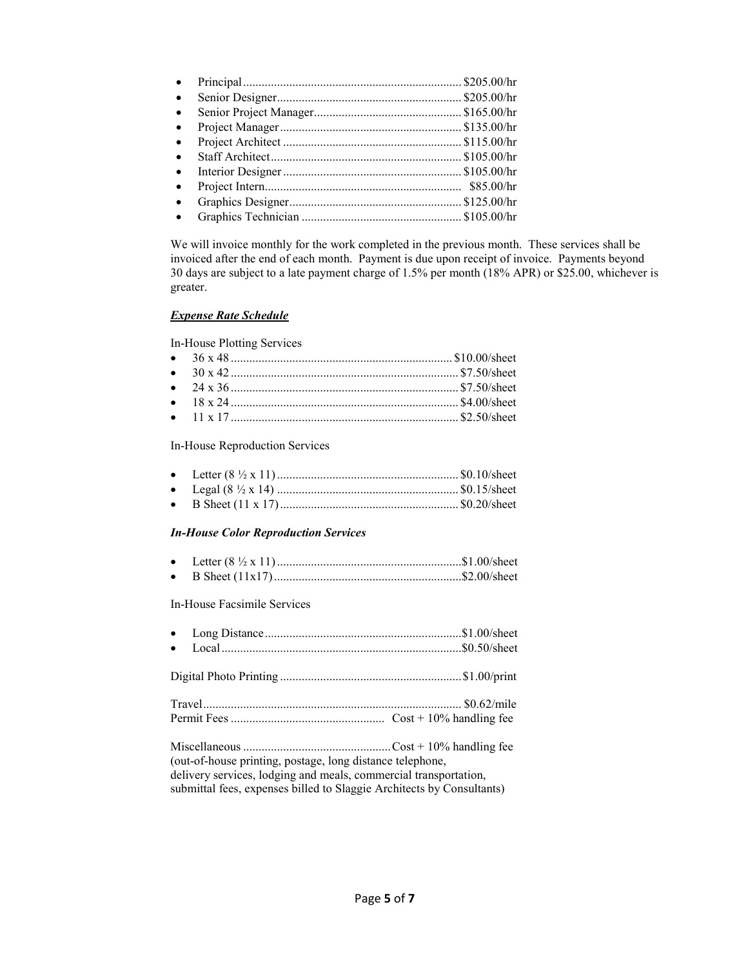| $\bullet$ |            |
|-----------|------------|
| $\bullet$ |            |
| $\bullet$ |            |
| $\bullet$ |            |
| $\bullet$ |            |
| $\bullet$ |            |
| $\bullet$ | \$85.00/hr |
| $\bullet$ |            |
|           |            |

We will invoice monthly for the work completed in the previous month. These services shall be invoiced after the end of each month. Payment is due upon receipt of invoice. Payments beyond 30 days are subject to a late payment charge of 1.5% per month (18% APR) or \$25.00, whichever is greater.

# *Expense Rate Schedule*

In-House Plotting Services

In-House Reproduction Services

## *In-House Color Reproduction Services*

In-House Facsimile Services

(out-of-house printing, postage, long distance telephone, delivery services, lodging and meals, commercial transportation, submittal fees, expenses billed to Slaggie Architects by Consultants)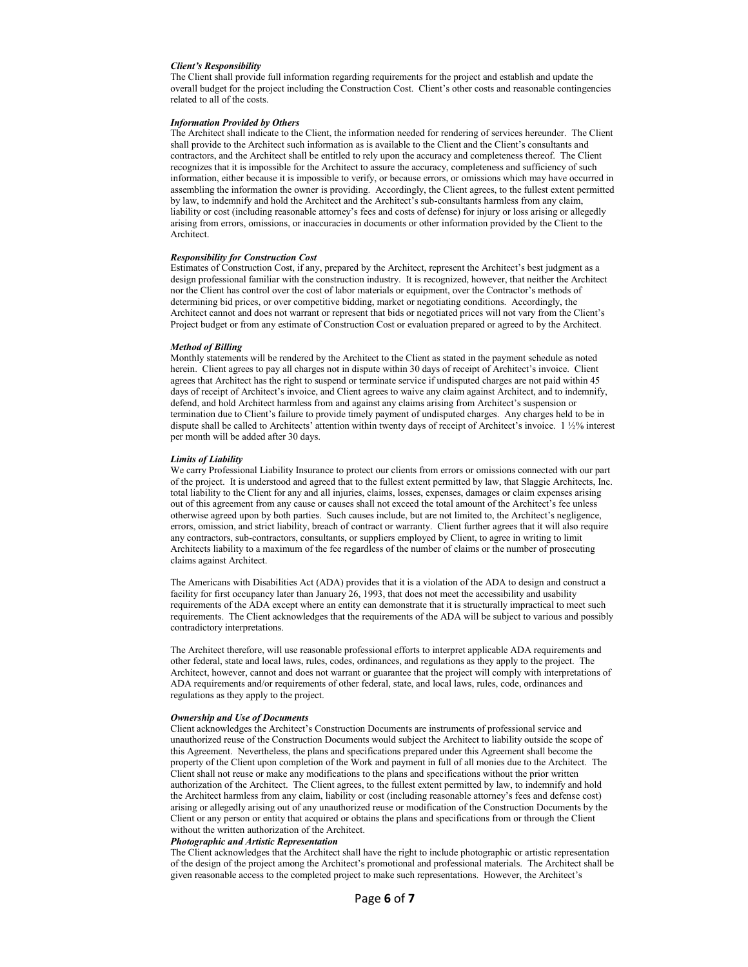#### *Client's Responsibility*

The Client shall provide full information regarding requirements for the project and establish and update the overall budget for the project including the Construction Cost. Client's other costs and reasonable contingencies related to all of the costs.

#### *Information Provided by Others*

The Architect shall indicate to the Client, the information needed for rendering of services hereunder. The Client shall provide to the Architect such information as is available to the Client and the Client's consultants and contractors, and the Architect shall be entitled to rely upon the accuracy and completeness thereof. The Client recognizes that it is impossible for the Architect to assure the accuracy, completeness and sufficiency of such information, either because it is impossible to verify, or because errors, or omissions which may have occurred in assembling the information the owner is providing. Accordingly, the Client agrees, to the fullest extent permitted by law, to indemnify and hold the Architect and the Architect's sub-consultants harmless from any claim, liability or cost (including reasonable attorney's fees and costs of defense) for injury or loss arising or allegedly arising from errors, omissions, or inaccuracies in documents or other information provided by the Client to the Architect.

#### *Responsibility for Construction Cost*

Estimates of Construction Cost, if any, prepared by the Architect, represent the Architect's best judgment as a design professional familiar with the construction industry. It is recognized, however, that neither the Architect nor the Client has control over the cost of labor materials or equipment, over the Contractor's methods of determining bid prices, or over competitive bidding, market or negotiating conditions. Accordingly, the Architect cannot and does not warrant or represent that bids or negotiated prices will not vary from the Client's Project budget or from any estimate of Construction Cost or evaluation prepared or agreed to by the Architect.

#### *Method of Billing*

Monthly statements will be rendered by the Architect to the Client as stated in the payment schedule as noted herein. Client agrees to pay all charges not in dispute within 30 days of receipt of Architect's invoice. Client agrees that Architect has the right to suspend or terminate service if undisputed charges are not paid within 45 days of receipt of Architect's invoice, and Client agrees to waive any claim against Architect, and to indemnify, defend, and hold Architect harmless from and against any claims arising from Architect's suspension or termination due to Client's failure to provide timely payment of undisputed charges. Any charges held to be in dispute shall be called to Architects' attention within twenty days of receipt of Architect's invoice. 1 ½% interest per month will be added after 30 days.

#### *Limits of Liability*

We carry Professional Liability Insurance to protect our clients from errors or omissions connected with our part of the project. It is understood and agreed that to the fullest extent permitted by law, that Slaggie Architects, Inc. total liability to the Client for any and all injuries, claims, losses, expenses, damages or claim expenses arising out of this agreement from any cause or causes shall not exceed the total amount of the Architect's fee unless otherwise agreed upon by both parties. Such causes include, but are not limited to, the Architect's negligence, errors, omission, and strict liability, breach of contract or warranty. Client further agrees that it will also require any contractors, sub-contractors, consultants, or suppliers employed by Client, to agree in writing to limit Architects liability to a maximum of the fee regardless of the number of claims or the number of prosecuting claims against Architect.

The Americans with Disabilities Act (ADA) provides that it is a violation of the ADA to design and construct a facility for first occupancy later than January 26, 1993, that does not meet the accessibility and usability requirements of the ADA except where an entity can demonstrate that it is structurally impractical to meet such requirements. The Client acknowledges that the requirements of the ADA will be subject to various and possibly contradictory interpretations.

The Architect therefore, will use reasonable professional efforts to interpret applicable ADA requirements and other federal, state and local laws, rules, codes, ordinances, and regulations as they apply to the project. The Architect, however, cannot and does not warrant or guarantee that the project will comply with interpretations of ADA requirements and/or requirements of other federal, state, and local laws, rules, code, ordinances and regulations as they apply to the project.

#### *Ownership and Use of Documents*

Client acknowledges the Architect's Construction Documents are instruments of professional service and unauthorized reuse of the Construction Documents would subject the Architect to liability outside the scope of this Agreement. Nevertheless, the plans and specifications prepared under this Agreement shall become the property of the Client upon completion of the Work and payment in full of all monies due to the Architect. The Client shall not reuse or make any modifications to the plans and specifications without the prior written authorization of the Architect. The Client agrees, to the fullest extent permitted by law, to indemnify and hold the Architect harmless from any claim, liability or cost (including reasonable attorney's fees and defense cost) arising or allegedly arising out of any unauthorized reuse or modification of the Construction Documents by the Client or any person or entity that acquired or obtains the plans and specifications from or through the Client without the written authorization of the Architect.

### *Photographic and Artistic Representation*

The Client acknowledges that the Architect shall have the right to include photographic or artistic representation of the design of the project among the Architect's promotional and professional materials. The Architect shall be given reasonable access to the completed project to make such representations. However, the Architect's